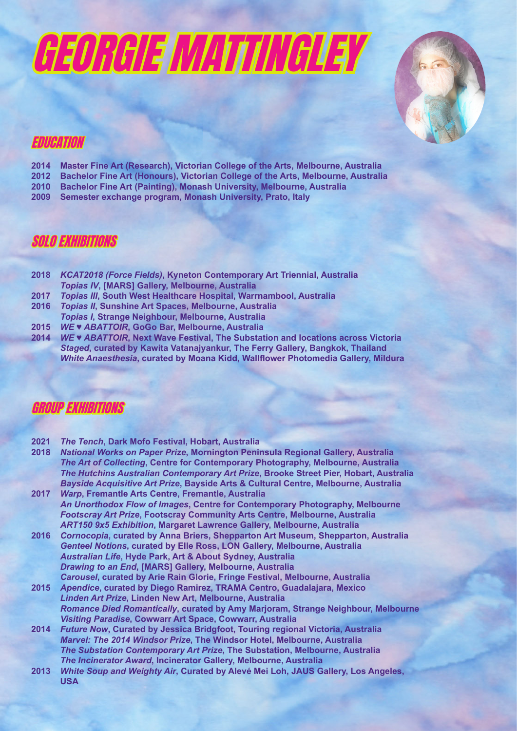



## EDUCATION

- **2014 Master Fine Art (Research), Victorian College of the Arts, Melbourne, Australia**
- **2012 Bachelor Fine Art (Honours), Victorian College of the Arts, Melbourne, Australia**
- **2010 Bachelor Fine Art (Painting), Monash University, Melbourne, Australia**
- **2009 Semester exchange program, Monash University, Prato, Italy**

#### SOLO EXHIBITIONS

- **2018** *KCAT2018 (Force Fields)***, Kyneton Contemporary Art Triennial, Australia** *Topias IV***, [MARS] Gallery, Melbourne, Australia**
- **2017** *Topias III***, South West Healthcare Hospital, Warrnambool, Australia**
- **2016** *Topias II***, Sunshine Art Spaces, Melbourne, Australia**
- *Topias I***, Strange Neighbour, Melbourne, Australia**<br>**2015** *WE* **ABATTOIR, GoGo Bar, Melbourne, Australia**
- **2015** *WE ♥ ABATTOIR***, GoGo Bar, Melbourne, Australia 2014** *WE ♥ ABATTOIR***, Next Wave Festival, The Substation and locations across Victoria** *Staged***, curated by Kawita Vatanajyankur, The Ferry Gallery, Bangkok, Thailand** *White Anaesthesia***, curated by Moana Kidd, Wallflower Photomedia Gallery, Mildura**

#### GROUP EXHIBITIONS

- 
- **2021** *The Tench***, Dark Mofo Festival, Hobart, Australia 2018** *National Works on Paper Prize***, Mornington Peninsula Regional Gallery, Australia** *The Art of Collecting***, Centre for Contemporary Photography, Melbourne, Australia** *The Hutchins Australian Contemporary Art Prize***, Brooke Street Pier, Hobart, Australia** *Bayside Acquisitive Art Prize***, Bayside Arts & Cultural Centre, Melbourne, Australia**
- **2017** *Warp***, Fremantle Arts Centre, Fremantle, Australia** *An Unorthodox Flow of Images***, Centre for Contemporary Photography, Melbourne** *Footscray Art Prize***, Footscray Community Arts Centre, Melbourne, Australia** *ART150 9x5 Exhibition***, Margaret Lawrence Gallery, Melbourne, Australia**
- **2016** *Cornocopia***, curated by Anna Briers, Shepparton Art Museum, Shepparton, Australia** *Genteel Notions***, curated by Elle Ross, LON Gallery, Melbourne, Australia** *Australian Life***, Hyde Park, Art & About Sydney, Australia** *Drawing to an End***, [MARS] Gallery, Melbourne, Australia** *Carousel***, curated by Arie Rain Glorie, Fringe Festival, Melbourne, Australia**
- **2015** *Apendice***, curated by Diego Ramirez, TRAMA Centro, Guadalajara, Mexico** *Linden Art Prize***, Linden New Art, Melbourne, Australia** *Romance Died Romantically***, curated by Amy Marjoram, Strange Neighbour, Melbourne** *Visiting Paradise***, Cowwarr Art Space, Cowwarr, Australia**
- **2014** *Future Now***, Curated by Jessica Bridgfoot, Touring regional Victoria, Australia** *Marvel: The 2014 Windsor Prize***, The Windsor Hotel, Melbourne, Australia** *The Substation Contemporary Art Prize***, The Substation, Melbourne, Australia** *The Incinerator Award***, Incinerator Gallery, Melbourne, Australia**
- **2013** *White Soup and Weighty Air***, Curated by Alevé Mei Loh, JAUS Gallery, Los Angeles, USA**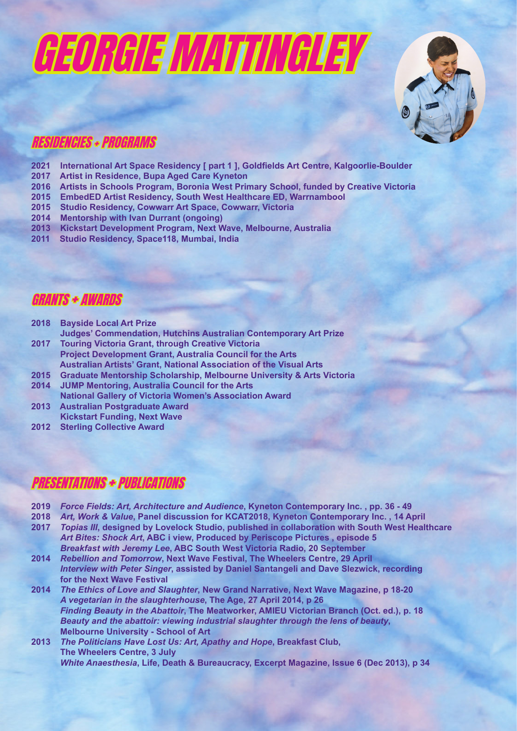# GEORGIE MATTINGLEY



# RESIDENCIES + PROGRAMS

- **2021 International Art Space Residency [ part 1 ], Goldfields Art Centre, Kalgoorlie-Boulder**
- **2017 Artist in Residence, Bupa Aged Care Kyneton**
- **2016 Artists in Schools Program, Boronia West Primary School, funded by Creative Victoria**
- **2015 EmbedED Artist Residency, South West Healthcare ED, Warrnambool**
- **2015 Studio Residency, Cowwarr Art Space, Cowwarr, Victoria**
- **2014 Mentorship with Ivan Durrant (ongoing)**
- **2013 Kickstart Development Program, Next Wave, Melbourne, Australia**
- **2011 Studio Residency, Space118, Mumbai, India**

### GRANTS + AWARDS

- **2018 Bayside Local Art Prize**
- **Judges' Commendation, Hutchins Australian Contemporary Art Prize 2017 Touring Victoria Grant, through Creative Victoria Project Development Grant, Australia Council for the Arts**
- **Australian Artists' Grant, National Association of the Visual Arts**
- **2015 Graduate Mentorship Scholarship, Melbourne University & Arts Victoria**
- **2014 JUMP Mentoring, Australia Council for the Arts National Gallery of Victoria Women's Association Award**
- **2013 Australian Postgraduate Award Kickstart Funding, Next Wave**
- **2012 Sterling Collective Award**

## PRESENTATIONS + PUBLICATIONS

- **2019** *Force Fields: Art, Architecture and Audience***, Kyneton Contemporary Inc. , pp. 36 49**
- **2018** *Art, Work & Value***, Panel discussion for KCAT2018, Kyneton Contemporary Inc. , 14 April**
- **2017** *Topias III***, designed by Lovelock Studio, published in collaboration with South West Healthcare** *Art Bites: Shock Art***, ABC i view, Produced by Periscope Pictures , episode 5** *Breakfast with Jeremy Lee***, ABC South West Victoria Radio, 20 September**
- **2014** *Rebellion and Tomorrow***, Next Wave Festival, The Wheelers Centre, 29 April** *Interview with Peter Singer***, assisted by Daniel Santangeli and Dave Slezwick, recording for the Next Wave Festival**
- **2014** *The Ethics of Love and Slaughter***, New Grand Narrative, Next Wave Magazine, p 18-20** *A vegetarian in the slaughterhouse***, The Age, 27 April 2014, p 26** *Finding Beauty in the Abattoir***, The Meatworker, AMIEU Victorian Branch (Oct. ed.), p. 18** *Beauty and the abattoir: viewing industrial slaughter through the lens of beauty***, Melbourne University - School of Art**
- **2013** *The Politicians Have Lost Us: Art, Apathy and Hope***, Breakfast Club, The Wheelers Centre, 3 July** *White Anaesthesia***, Life, Death & Bureaucracy, Excerpt Magazine, Issue 6 (Dec 2013), p 34**